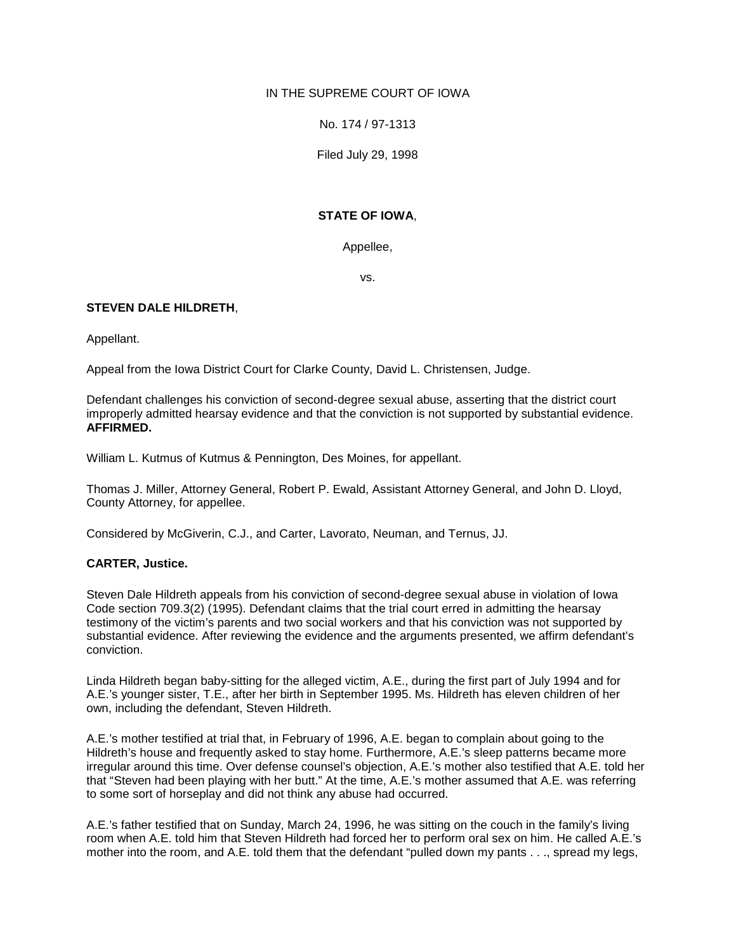# IN THE SUPREME COURT OF IOWA

No. 174 / 97-1313

Filed July 29, 1998

# **STATE OF IOWA**,

Appellee,

vs.

# **STEVEN DALE HILDRETH**,

Appellant.

Appeal from the Iowa District Court for Clarke County, David L. Christensen, Judge.

Defendant challenges his conviction of second-degree sexual abuse, asserting that the district court improperly admitted hearsay evidence and that the conviction is not supported by substantial evidence. **AFFIRMED.**

William L. Kutmus of Kutmus & Pennington, Des Moines, for appellant.

Thomas J. Miller, Attorney General, Robert P. Ewald, Assistant Attorney General, and John D. Lloyd, County Attorney, for appellee.

Considered by McGiverin, C.J., and Carter, Lavorato, Neuman, and Ternus, JJ.

### **CARTER, Justice.**

Steven Dale Hildreth appeals from his conviction of second-degree sexual abuse in violation of Iowa Code section 709.3(2) (1995). Defendant claims that the trial court erred in admitting the hearsay testimony of the victim's parents and two social workers and that his conviction was not supported by substantial evidence. After reviewing the evidence and the arguments presented, we affirm defendant's conviction.

Linda Hildreth began baby-sitting for the alleged victim, A.E., during the first part of July 1994 and for A.E.'s younger sister, T.E., after her birth in September 1995. Ms. Hildreth has eleven children of her own, including the defendant, Steven Hildreth.

A.E.'s mother testified at trial that, in February of 1996, A.E. began to complain about going to the Hildreth's house and frequently asked to stay home. Furthermore, A.E.'s sleep patterns became more irregular around this time. Over defense counsel's objection, A.E.'s mother also testified that A.E. told her that "Steven had been playing with her butt." At the time, A.E.'s mother assumed that A.E. was referring to some sort of horseplay and did not think any abuse had occurred.

A.E.'s father testified that on Sunday, March 24, 1996, he was sitting on the couch in the family's living room when A.E. told him that Steven Hildreth had forced her to perform oral sex on him. He called A.E.'s mother into the room, and A.E. told them that the defendant "pulled down my pants . . ., spread my legs,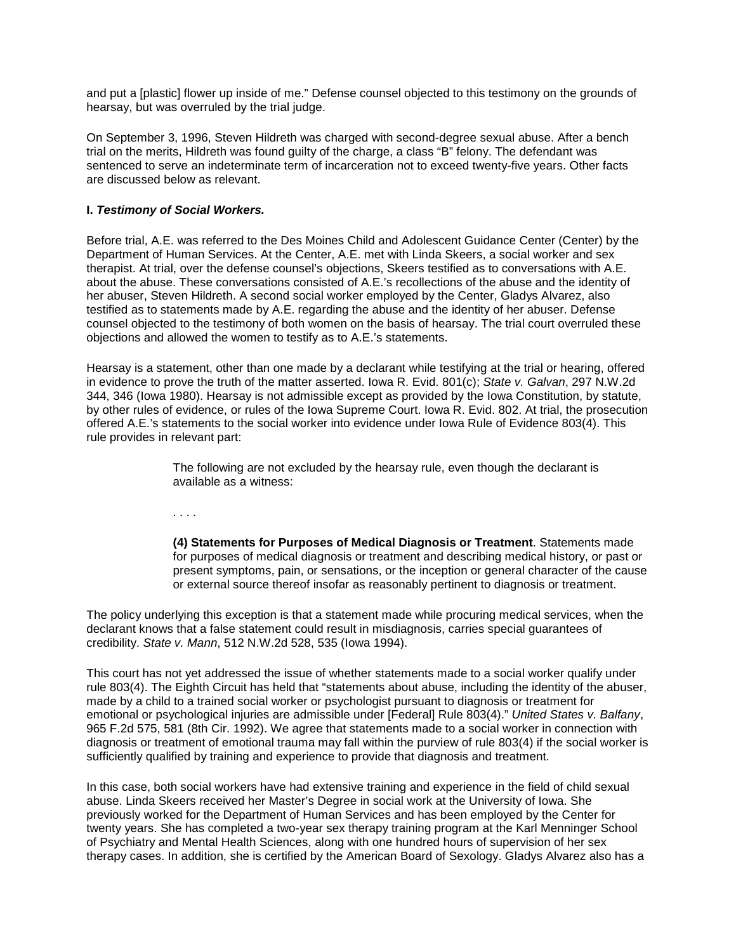and put a [plastic] flower up inside of me." Defense counsel objected to this testimony on the grounds of hearsay, but was overruled by the trial judge.

On September 3, 1996, Steven Hildreth was charged with second-degree sexual abuse. After a bench trial on the merits, Hildreth was found guilty of the charge, a class "B" felony. The defendant was sentenced to serve an indeterminate term of incarceration not to exceed twenty-five years. Other facts are discussed below as relevant.

# **I.** *Testimony of Social Workers.*

Before trial, A.E. was referred to the Des Moines Child and Adolescent Guidance Center (Center) by the Department of Human Services. At the Center, A.E. met with Linda Skeers, a social worker and sex therapist. At trial, over the defense counsel's objections, Skeers testified as to conversations with A.E. about the abuse. These conversations consisted of A.E.'s recollections of the abuse and the identity of her abuser, Steven Hildreth. A second social worker employed by the Center, Gladys Alvarez, also testified as to statements made by A.E. regarding the abuse and the identity of her abuser. Defense counsel objected to the testimony of both women on the basis of hearsay. The trial court overruled these objections and allowed the women to testify as to A.E.'s statements.

Hearsay is a statement, other than one made by a declarant while testifying at the trial or hearing, offered in evidence to prove the truth of the matter asserted. Iowa R. Evid. 801(c); *State v. Galvan*, 297 N.W.2d 344, 346 (Iowa 1980). Hearsay is not admissible except as provided by the Iowa Constitution, by statute, by other rules of evidence, or rules of the Iowa Supreme Court. Iowa R. Evid. 802. At trial, the prosecution offered A.E.'s statements to the social worker into evidence under Iowa Rule of Evidence 803(4). This rule provides in relevant part:

> The following are not excluded by the hearsay rule, even though the declarant is available as a witness:

. . . .

**(4) Statements for Purposes of Medical Diagnosis or Treatment**. Statements made for purposes of medical diagnosis or treatment and describing medical history, or past or present symptoms, pain, or sensations, or the inception or general character of the cause or external source thereof insofar as reasonably pertinent to diagnosis or treatment.

The policy underlying this exception is that a statement made while procuring medical services, when the declarant knows that a false statement could result in misdiagnosis, carries special guarantees of credibility. *State v. Mann*, 512 N.W.2d 528, 535 (Iowa 1994).

This court has not yet addressed the issue of whether statements made to a social worker qualify under rule 803(4). The Eighth Circuit has held that "statements about abuse, including the identity of the abuser, made by a child to a trained social worker or psychologist pursuant to diagnosis or treatment for emotional or psychological injuries are admissible under [Federal] Rule 803(4)." *United States v. Balfany*, 965 F.2d 575, 581 (8th Cir. 1992). We agree that statements made to a social worker in connection with diagnosis or treatment of emotional trauma may fall within the purview of rule 803(4) if the social worker is sufficiently qualified by training and experience to provide that diagnosis and treatment.

In this case, both social workers have had extensive training and experience in the field of child sexual abuse. Linda Skeers received her Master's Degree in social work at the University of Iowa. She previously worked for the Department of Human Services and has been employed by the Center for twenty years. She has completed a two-year sex therapy training program at the Karl Menninger School of Psychiatry and Mental Health Sciences, along with one hundred hours of supervision of her sex therapy cases. In addition, she is certified by the American Board of Sexology. Gladys Alvarez also has a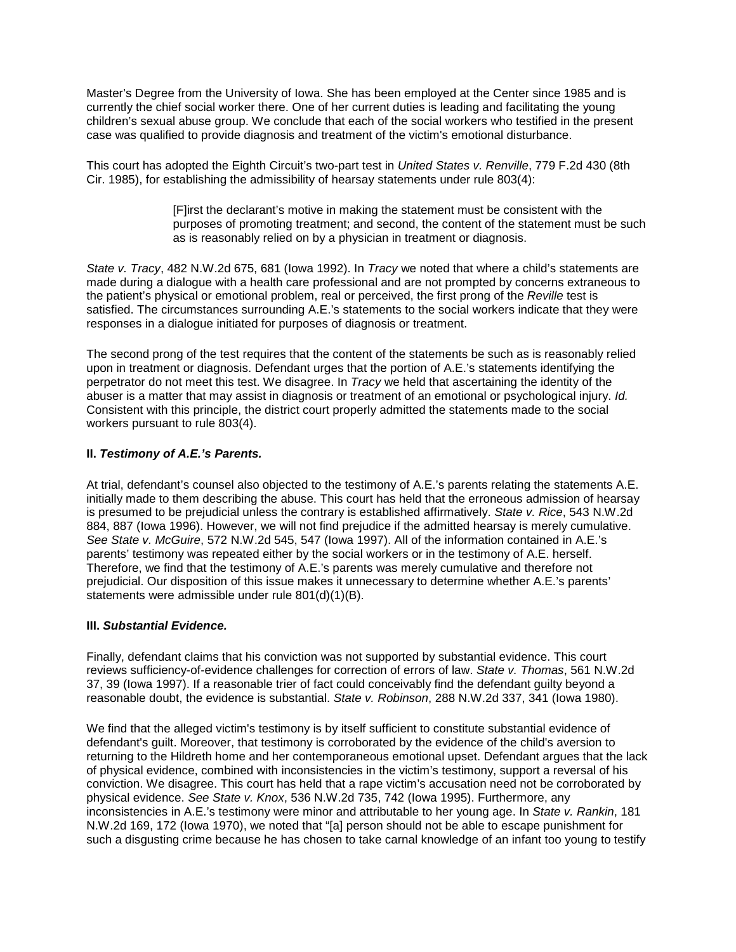Master's Degree from the University of Iowa. She has been employed at the Center since 1985 and is currently the chief social worker there. One of her current duties is leading and facilitating the young children's sexual abuse group. We conclude that each of the social workers who testified in the present case was qualified to provide diagnosis and treatment of the victim's emotional disturbance.

This court has adopted the Eighth Circuit's two-part test in *United States v. Renville*, 779 F.2d 430 (8th Cir. 1985), for establishing the admissibility of hearsay statements under rule 803(4):

> [F]irst the declarant's motive in making the statement must be consistent with the purposes of promoting treatment; and second, the content of the statement must be such as is reasonably relied on by a physician in treatment or diagnosis.

*State v. Tracy*, 482 N.W.2d 675, 681 (Iowa 1992). In *Tracy* we noted that where a child's statements are made during a dialogue with a health care professional and are not prompted by concerns extraneous to the patient's physical or emotional problem, real or perceived, the first prong of the *Reville* test is satisfied. The circumstances surrounding A.E.'s statements to the social workers indicate that they were responses in a dialogue initiated for purposes of diagnosis or treatment.

The second prong of the test requires that the content of the statements be such as is reasonably relied upon in treatment or diagnosis. Defendant urges that the portion of A.E.'s statements identifying the perpetrator do not meet this test. We disagree. In *Tracy* we held that ascertaining the identity of the abuser is a matter that may assist in diagnosis or treatment of an emotional or psychological injury. *Id.*  Consistent with this principle, the district court properly admitted the statements made to the social workers pursuant to rule 803(4).

### **II.** *Testimony of A.E.'s Parents.*

At trial, defendant's counsel also objected to the testimony of A.E.'s parents relating the statements A.E. initially made to them describing the abuse. This court has held that the erroneous admission of hearsay is presumed to be prejudicial unless the contrary is established affirmatively. *State v. Rice*, 543 N.W.2d 884, 887 (Iowa 1996). However, we will not find prejudice if the admitted hearsay is merely cumulative. *See State v. McGuire*, 572 N.W.2d 545, 547 (Iowa 1997). All of the information contained in A.E.'s parents' testimony was repeated either by the social workers or in the testimony of A.E. herself. Therefore, we find that the testimony of A.E.'s parents was merely cumulative and therefore not prejudicial. Our disposition of this issue makes it unnecessary to determine whether A.E.'s parents' statements were admissible under rule 801(d)(1)(B).

### **III.** *Substantial Evidence.*

Finally, defendant claims that his conviction was not supported by substantial evidence. This court reviews sufficiency-of-evidence challenges for correction of errors of law. *State v. Thomas*, 561 N.W.2d 37, 39 (Iowa 1997). If a reasonable trier of fact could conceivably find the defendant guilty beyond a reasonable doubt, the evidence is substantial. *State v. Robinson*, 288 N.W.2d 337, 341 (Iowa 1980).

We find that the alleged victim's testimony is by itself sufficient to constitute substantial evidence of defendant's guilt. Moreover, that testimony is corroborated by the evidence of the child's aversion to returning to the Hildreth home and her contemporaneous emotional upset. Defendant argues that the lack of physical evidence, combined with inconsistencies in the victim's testimony, support a reversal of his conviction. We disagree. This court has held that a rape victim's accusation need not be corroborated by physical evidence. *See State v. Knox*, 536 N.W.2d 735, 742 (Iowa 1995). Furthermore, any inconsistencies in A.E.'s testimony were minor and attributable to her young age. In *State v. Rankin*, 181 N.W.2d 169, 172 (Iowa 1970), we noted that "[a] person should not be able to escape punishment for such a disgusting crime because he has chosen to take carnal knowledge of an infant too young to testify